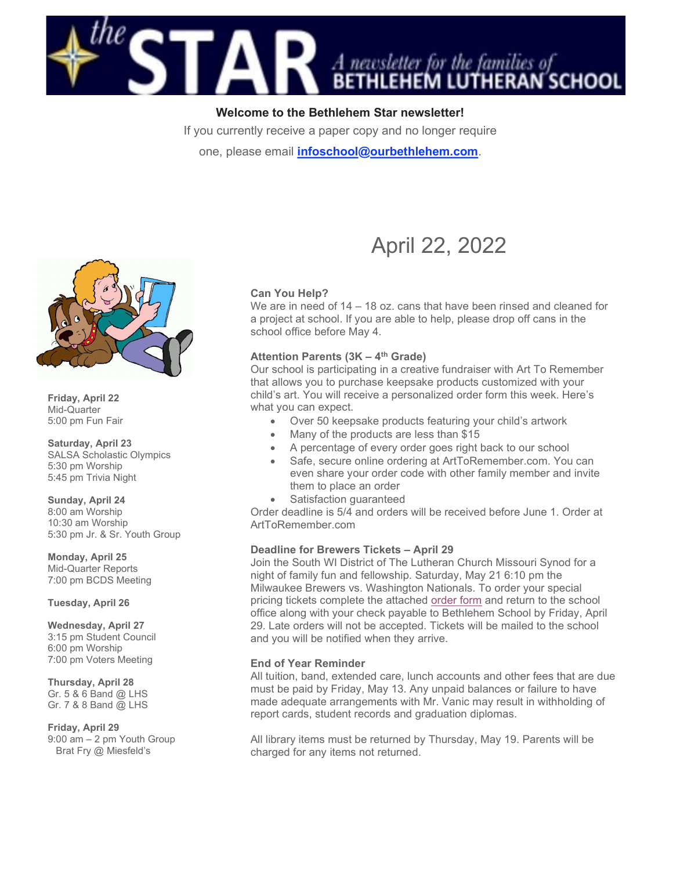

Welcome to the Bethlehem Star newsletter!

If you currently receive a paper copy and no longer require one, please email *infoschool@ourbethlehem.com*.



Friday, April 22 Mid-Quarter 5:00 pm Fun Fair

Saturday, April 23 SALSA Scholastic Olympics 5:30 pm Worship 5:45 pm Trivia Night

Sunday, April 24 8:00 am Worship 10:30 am Worship 5:30 pm Jr. & Sr. Youth Group

Monday, April 25 Mid-Quarter Reports 7:00 pm BCDS Meeting

Tuesday, April 26

Wednesday, April 27 3:15 pm Student Council 6:00 pm Worship 7:00 pm Voters Meeting

Thursday, April 28 Gr. 5 & 6 Band @ LHS Gr. 7 & 8 Band @ LHS

Friday, April 29 9:00 am – 2 pm Youth Group Brat Fry @ Miesfeld's

# April 22, 2022

# Can You Help?

We are in need of 14 – 18 oz. cans that have been rinsed and cleaned for a project at school. If you are able to help, please drop off cans in the school office before May 4.

## Attention Parents  $(3K - 4<sup>th</sup>$  Grade)

Our school is participating in a creative fundraiser with Art To Remember that allows you to purchase keepsake products customized with your child's art. You will receive a personalized order form this week. Here's what you can expect.

- Over 50 keepsake products featuring your child's artwork
- Many of the products are less than \$15
- A percentage of every order goes right back to our school
- Safe, secure online ordering at ArtToRemember.com. You can even share your order code with other family member and invite them to place an order
- Satisfaction guaranteed

Order deadline is 5/4 and orders will be received before June 1. Order at ArtToRemember.com

# Deadline for Brewers Tickets – April 29

Join the South WI District of The Lutheran Church Missouri Synod for a night of family fun and fellowship. Saturday, May 21 6:10 pm the Milwaukee Brewers vs. Washington Nationals. To order your special pricing tickets complete the attached order form and return to the school office along with your check payable to Bethlehem School by Friday, April 29. Late orders will not be accepted. Tickets will be mailed to the school and you will be notified when they arrive.

## End of Year Reminder

All tuition, band, extended care, lunch accounts and other fees that are due must be paid by Friday, May 13. Any unpaid balances or failure to have made adequate arrangements with Mr. Vanic may result in withholding of report cards, student records and graduation diplomas.

All library items must be returned by Thursday, May 19. Parents will be charged for any items not returned.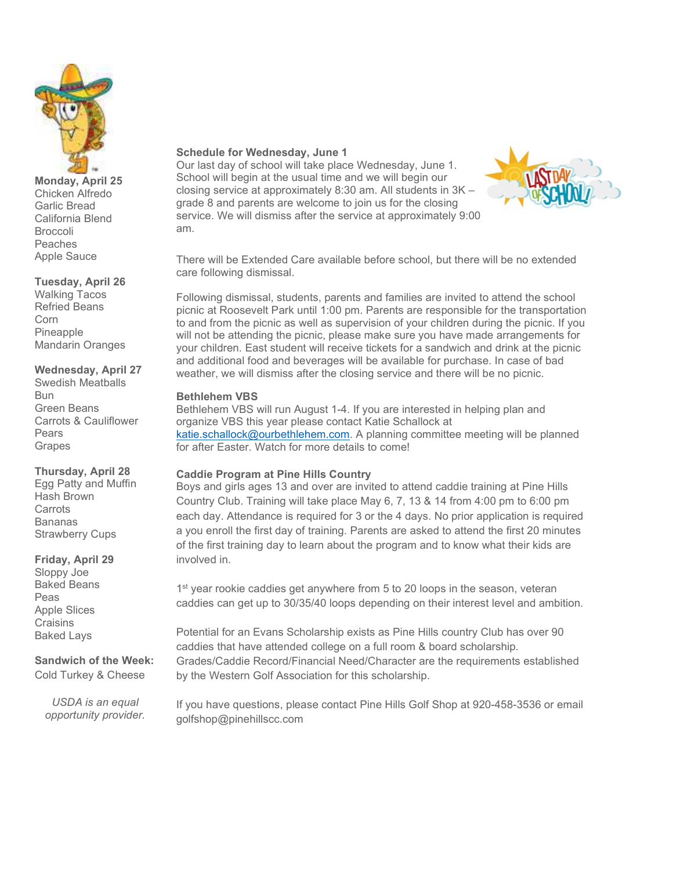

#### Monday, April 25 Chicken Alfredo Garlic Bread California Blend Broccoli Peaches Apple Sauce

## Tuesday, April 26

Walking Tacos Refried Beans Corn Pineapple Mandarin Oranges

#### Wednesday, April 27

Swedish Meatballs Bun Green Beans Carrots & Cauliflower Pears Grapes

## Thursday, April 28

Egg Patty and Muffin Hash Brown **Carrots** Bananas Strawberry Cups

## Friday, April 29

Sloppy Joe Baked Beans Peas Apple Slices **Craisins** Baked Lays

#### Sandwich of the Week: Cold Turkey & Cheese

USDA is an equal opportunity provider.

## Schedule for Wednesday, June 1

Our last day of school will take place Wednesday, June 1. School will begin at the usual time and we will begin our closing service at approximately 8:30 am. All students in 3K – grade 8 and parents are welcome to join us for the closing service. We will dismiss after the service at approximately 9:00 am.



There will be Extended Care available before school, but there will be no extended care following dismissal.

Following dismissal, students, parents and families are invited to attend the school picnic at Roosevelt Park until 1:00 pm. Parents are responsible for the transportation to and from the picnic as well as supervision of your children during the picnic. If you will not be attending the picnic, please make sure you have made arrangements for your children. East student will receive tickets for a sandwich and drink at the picnic and additional food and beverages will be available for purchase. In case of bad weather, we will dismiss after the closing service and there will be no picnic.

#### Bethlehem VBS

Bethlehem VBS will run August 1-4. If you are interested in helping plan and organize VBS this year please contact Katie Schallock at katie.schallock@ourbethlehem.com. A planning committee meeting will be planned for after Easter. Watch for more details to come!

# Caddie Program at Pine Hills Country

Boys and girls ages 13 and over are invited to attend caddie training at Pine Hills Country Club. Training will take place May 6, 7, 13 & 14 from 4:00 pm to 6:00 pm each day. Attendance is required for 3 or the 4 days. No prior application is required a you enroll the first day of training. Parents are asked to attend the first 20 minutes of the first training day to learn about the program and to know what their kids are involved in.

1<sup>st</sup> year rookie caddies get anywhere from 5 to 20 loops in the season, veteran caddies can get up to 30/35/40 loops depending on their interest level and ambition.

Potential for an Evans Scholarship exists as Pine Hills country Club has over 90 caddies that have attended college on a full room & board scholarship. Grades/Caddie Record/Financial Need/Character are the requirements established by the Western Golf Association for this scholarship.

If you have questions, please contact Pine Hills Golf Shop at 920-458-3536 or email golfshop@pinehillscc.com